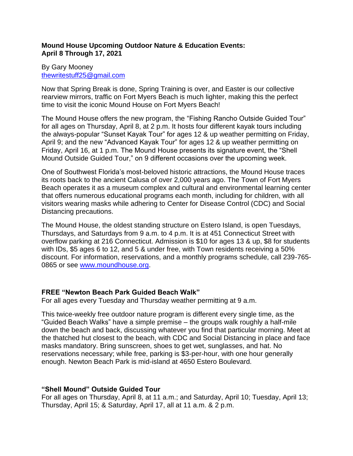# **Mound House Upcoming Outdoor Nature & Education Events: April 8 Through 17, 2021**

# By Gary Mooney [thewritestuff25@gmail.com](mailto:thewritestuff25@gmail.com)

Now that Spring Break is done, Spring Training is over, and Easter is our collective rearview mirrors, traffic on Fort Myers Beach is much lighter, making this the perfect time to visit the iconic Mound House on Fort Myers Beach!

The Mound House offers the new program, the "Fishing Rancho Outside Guided Tour" for all ages on Thursday, April 8, at 2 p.m. It hosts four different kayak tours including the always-popular "Sunset Kayak Tour" for ages 12 & up weather permitting on Friday, April 9; and the new "Advanced Kayak Tour" for ages 12 & up weather permitting on Friday, April 16, at 1 p.m. The Mound House presents its signature event, the "Shell Mound Outside Guided Tour," on 9 different occasions over the upcoming week.

One of Southwest Florida's most-beloved historic attractions, the Mound House traces its roots back to the ancient Calusa of over 2,000 years ago. The Town of Fort Myers Beach operates it as a museum complex and cultural and environmental learning center that offers numerous educational programs each month, including for children, with all visitors wearing masks while adhering to Center for Disease Control (CDC) and Social Distancing precautions.

The Mound House, the oldest standing structure on Estero Island, is open Tuesdays, Thursdays, and Saturdays from 9 a.m. to 4 p.m. It is at 451 Connecticut Street with overflow parking at 216 Connecticut. Admission is \$10 for ages 13 & up, \$8 for students with IDs, \$5 ages 6 to 12, and 5 & under free, with Town residents receiving a 50% discount. For information, reservations, and a monthly programs schedule, call 239-765- 0865 or see [www.moundhouse.org.](http://www.moundhouse.org/)

# **FREE "Newton Beach Park Guided Beach Walk"**

For all ages every Tuesday and Thursday weather permitting at 9 a.m.

This twice-weekly free outdoor nature program is different every single time, as the "Guided Beach Walks" have a simple premise – the groups walk roughly a half-mile down the beach and back, discussing whatever you find that particular morning. Meet at the thatched hut closest to the beach, with CDC and Social Distancing in place and face masks mandatory. Bring sunscreen, shoes to get wet, sunglasses, and hat. No reservations necessary; while free, parking is \$3-per-hour, with one hour generally enough. Newton Beach Park is mid-island at 4650 Estero Boulevard.

# **"Shell Mound" Outside Guided Tour**

For all ages on Thursday, April 8, at 11 a.m.; and Saturday, April 10; Tuesday, April 13; Thursday, April 15; & Saturday, April 17, all at 11 a.m. & 2 p.m.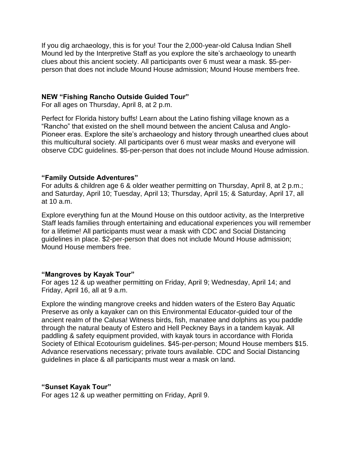If you dig archaeology, this is for you! Tour the 2,000-year-old Calusa Indian Shell Mound led by the Interpretive Staff as you explore the site's archaeology to unearth clues about this ancient society. All participants over 6 must wear a mask. \$5-perperson that does not include Mound House admission; Mound House members free.

#### **NEW "Fishing Rancho Outside Guided Tour"**

For all ages on Thursday, April 8, at 2 p.m.

Perfect for Florida history buffs! Learn about the Latino fishing village known as a "Rancho" that existed on the shell mound between the ancient Calusa and Anglo-Pioneer eras. Explore the site's archaeology and history through unearthed clues about this multicultural society. All participants over 6 must wear masks and everyone will observe CDC guidelines. \$5-per-person that does not include Mound House admission.

#### **"Family Outside Adventures"**

For adults & children age 6 & older weather permitting on Thursday, April 8, at 2 p.m.; and Saturday, April 10; Tuesday, April 13; Thursday, April 15; & Saturday, April 17, all at 10 a.m.

Explore everything fun at the Mound House on this outdoor activity, as the Interpretive Staff leads families through entertaining and educational experiences you will remember for a lifetime! All participants must wear a mask with CDC and Social Distancing guidelines in place. \$2-per-person that does not include Mound House admission; Mound House members free.

#### **"Mangroves by Kayak Tour"**

For ages 12 & up weather permitting on Friday, April 9; Wednesday, April 14; and Friday, April 16, all at 9 a.m.

Explore the winding mangrove creeks and hidden waters of the Estero Bay Aquatic Preserve as only a kayaker can on this Environmental Educator-guided tour of the ancient realm of the Calusa! Witness birds, fish, manatee and dolphins as you paddle through the natural beauty of Estero and Hell Peckney Bays in a tandem kayak. All paddling & safety equipment provided, with kayak tours in accordance with Florida Society of Ethical Ecotourism guidelines. \$45-per-person; Mound House members \$15. Advance reservations necessary; private tours available. CDC and Social Distancing guidelines in place & all participants must wear a mask on land.

#### **"Sunset Kayak Tour"**

For ages 12 & up weather permitting on Friday, April 9.